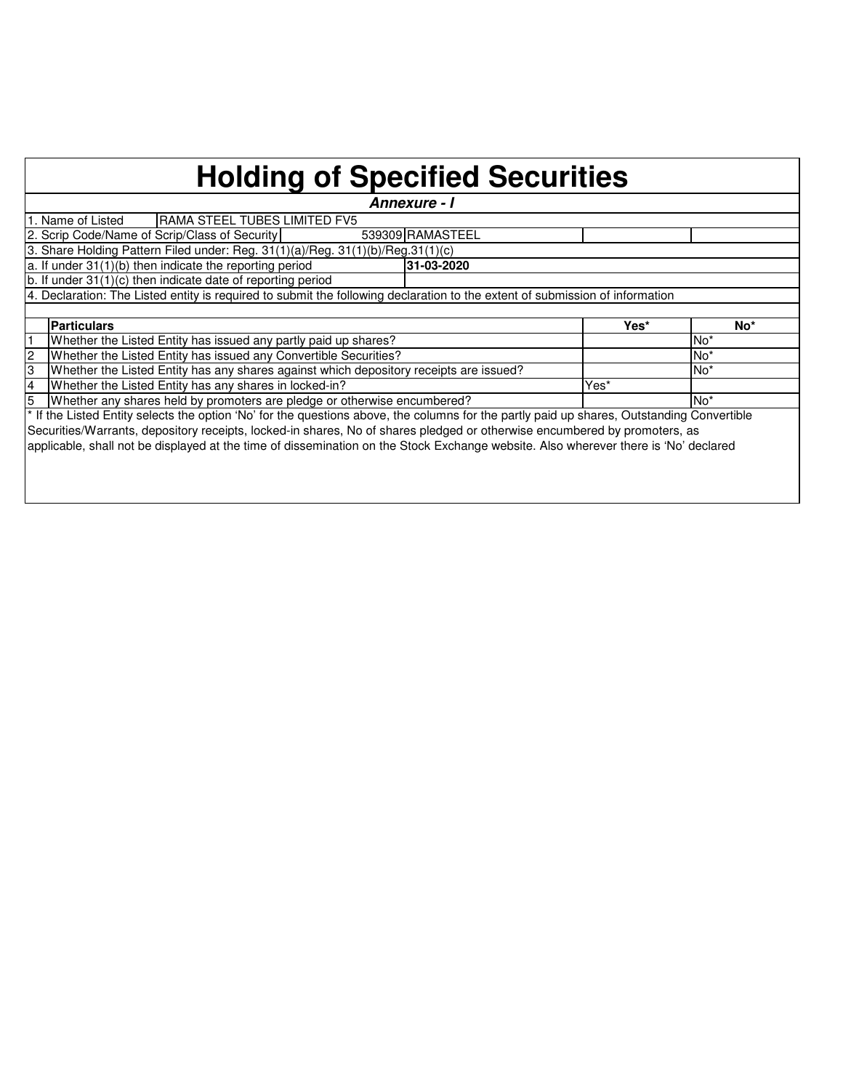## **Holding of Specified Securities**

| Annexure - I                                  |                                                                                                                                            |  |      |                 |  |  |  |  |  |  |  |  |  |
|-----------------------------------------------|--------------------------------------------------------------------------------------------------------------------------------------------|--|------|-----------------|--|--|--|--|--|--|--|--|--|
|                                               | <b>IRAMA STEEL TUBES LIMITED FV5</b><br>1. Name of Listed                                                                                  |  |      |                 |  |  |  |  |  |  |  |  |  |
|                                               | 2. Scrip Code/Name of Scrip/Class of Security<br>539309 RAMASTEEL                                                                          |  |      |                 |  |  |  |  |  |  |  |  |  |
|                                               | 3. Share Holding Pattern Filed under: Reg. 31(1)(a)/Reg. 31(1)(b)/Reg.31(1)(c)                                                             |  |      |                 |  |  |  |  |  |  |  |  |  |
|                                               | a. If under $31(1)(b)$ then indicate the reporting period<br>31-03-2020                                                                    |  |      |                 |  |  |  |  |  |  |  |  |  |
|                                               | $\vert$ b. If under 31(1)(c) then indicate date of reporting period                                                                        |  |      |                 |  |  |  |  |  |  |  |  |  |
|                                               | 4. Declaration: The Listed entity is required to submit the following declaration to the extent of submission of information               |  |      |                 |  |  |  |  |  |  |  |  |  |
|                                               |                                                                                                                                            |  |      |                 |  |  |  |  |  |  |  |  |  |
| <b>Particulars</b><br>Yes*<br>No <sup>*</sup> |                                                                                                                                            |  |      |                 |  |  |  |  |  |  |  |  |  |
|                                               |                                                                                                                                            |  |      |                 |  |  |  |  |  |  |  |  |  |
|                                               | Whether the Listed Entity has issued any partly paid up shares?                                                                            |  |      | No <sup>*</sup> |  |  |  |  |  |  |  |  |  |
| $\overline{c}$                                | Whether the Listed Entity has issued any Convertible Securities?                                                                           |  |      | No <sup>*</sup> |  |  |  |  |  |  |  |  |  |
| IЗ                                            | Whether the Listed Entity has any shares against which depository receipts are issued?                                                     |  |      | No <sup>*</sup> |  |  |  |  |  |  |  |  |  |
| $\overline{4}$                                | Whether the Listed Entity has any shares in locked-in?                                                                                     |  | Yes* |                 |  |  |  |  |  |  |  |  |  |
| 15                                            | Whether any shares held by promoters are pledge or otherwise encumbered?                                                                   |  |      | No <sup>*</sup> |  |  |  |  |  |  |  |  |  |
|                                               | * If the Listed Entity selects the option 'No' for the questions above, the columns for the partly paid up shares, Outstanding Convertible |  |      |                 |  |  |  |  |  |  |  |  |  |
|                                               | Securities/Warrants, depository receipts, locked-in shares, No of shares pledged or otherwise encumbered by promoters, as                  |  |      |                 |  |  |  |  |  |  |  |  |  |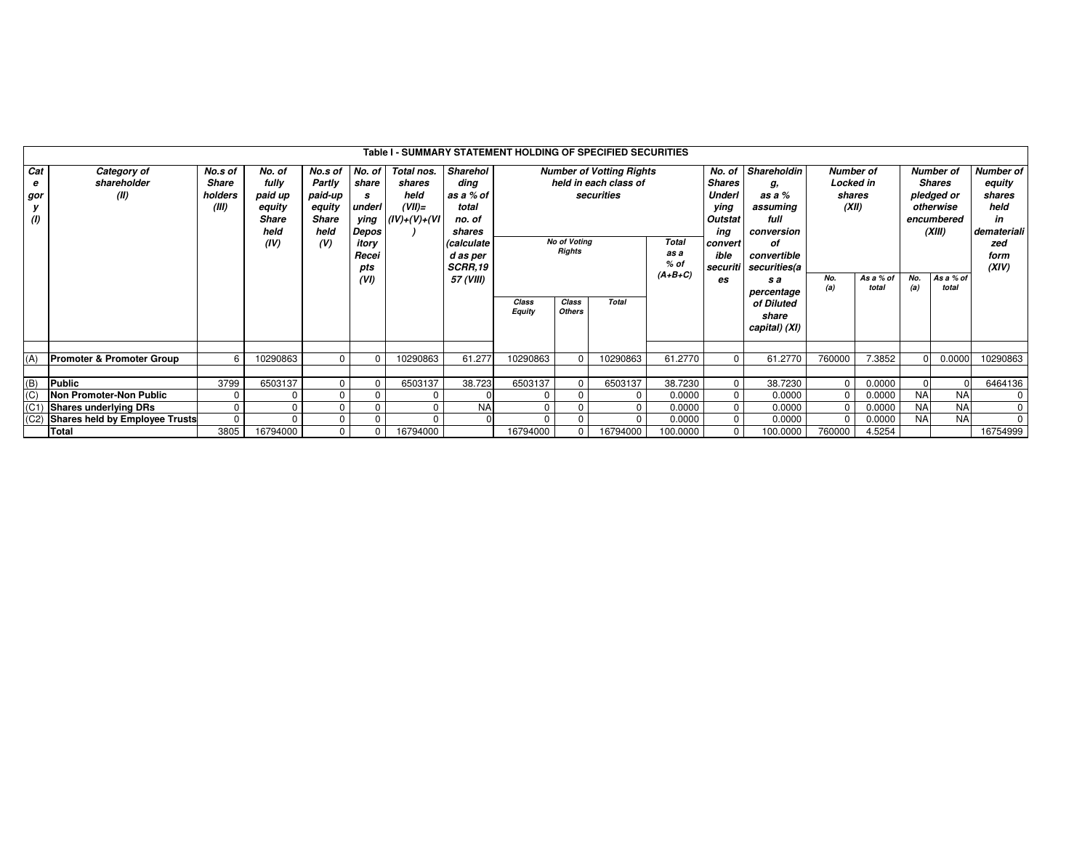|                             | Table I - SUMMARY STATEMENT HOLDING OF SPECIFIED SECURITIES |                                      |                                                                      |                                                                              |                                                                |                                                             |                                                                                                        |                 |                                      |                                                                        |                                |                                                                                                          |                                                                                                    |                                                         |                    |                                                                                      |                    |                                                                                           |  |
|-----------------------------|-------------------------------------------------------------|--------------------------------------|----------------------------------------------------------------------|------------------------------------------------------------------------------|----------------------------------------------------------------|-------------------------------------------------------------|--------------------------------------------------------------------------------------------------------|-----------------|--------------------------------------|------------------------------------------------------------------------|--------------------------------|----------------------------------------------------------------------------------------------------------|----------------------------------------------------------------------------------------------------|---------------------------------------------------------|--------------------|--------------------------------------------------------------------------------------|--------------------|-------------------------------------------------------------------------------------------|--|
| Cat<br>e<br>gor<br>у<br>(1) | Category of<br>shareholder<br>(II)                          | No.s of<br>Share<br>holders<br>(III) | No. of<br>fully<br>paid up<br>equity<br><b>Share</b><br>held<br>(IV) | No.s of No. of<br>Partly<br>paid-up<br>equity<br><b>Share</b><br>held<br>(V) | share<br>s<br>underl<br>ying<br>Depos<br>itory<br>Recei<br>pts | Total nos.<br>shares<br>held<br>$(VII)=$<br>$(IV)+(V)+(VI)$ | Sharehol<br>ding<br>as a % of<br>total<br>no. of<br>shares<br>(calculate<br>d as per<br><b>SCRR,19</b> |                 | <b>No of Voting</b><br><b>Rights</b> | <b>Number of Votting Rights</b><br>held in each class of<br>securities | <b>Total</b><br>as a<br>$%$ of | No. of<br><b>Shares</b><br><b>Underl</b><br>ying<br><b>Outstat</b><br>ing<br>convert<br>ible<br>securiti | Shareholdin<br>g,<br>as a %<br>assuming<br>full<br>conversion<br>οf<br>convertible<br>securities(a | <b>Number of</b><br><b>Locked in</b><br>shares<br>(XII) |                    | <b>Number of</b><br><b>Shares</b><br>pledged or<br>otherwise<br>encumbered<br>(XIII) |                    | <b>Number of</b><br>equity<br>shares<br>held<br>in<br>demateriali<br>zed<br>form<br>(XIV) |  |
|                             |                                                             |                                      |                                                                      |                                                                              | (VI)                                                           |                                                             | 57 (VIII)                                                                                              | Class<br>Equity | Class<br><b>Others</b>               | Total                                                                  | $(A+B+C)$                      | es                                                                                                       | s a<br>percentage<br>of Diluted<br>share<br>capital) (XI)                                          | No.<br>(a)                                              | As a % of<br>total | No.<br>(a)                                                                           | As a % of<br>total |                                                                                           |  |
| (A)                         | <b>Promoter &amp; Promoter Group</b>                        | 6                                    | 10290863                                                             | $\Omega$                                                                     | O                                                              | 10290863                                                    | 61.277                                                                                                 | 10290863        | 10290863                             |                                                                        | 61.2770                        | $\Omega$                                                                                                 | 61.2770                                                                                            | 760000                                                  | 7.3852             |                                                                                      | 0.0000             | 10290863                                                                                  |  |
| (B)<br>(C)                  | Public<br><b>Non Promoter-Non Public</b>                    | 3799<br>$\Omega$                     | 6503137                                                              | $\Omega$<br>$\Omega$                                                         | $\Omega$<br>$\Omega$                                           | 6503137<br>$\Omega$                                         | 38.723                                                                                                 | 6503137         |                                      | 6503137                                                                | 38.7230<br>0.0000              | 0<br>0                                                                                                   | 38.7230<br>0.0000                                                                                  | $\Omega$<br>$\Omega$                                    | 0.0000<br>0.0000   | <b>NA</b>                                                                            | <b>NA</b>          | 6464136                                                                                   |  |
| (C1)                        | <b>Shares underlying DRs</b>                                |                                      |                                                                      |                                                                              | $\Omega$                                                       |                                                             | <b>NA</b>                                                                                              | $\Omega$        |                                      |                                                                        | 0.0000                         | 0                                                                                                        | 0.0000                                                                                             |                                                         | 0.0000             | <b>NA</b>                                                                            | <b>NA</b>          |                                                                                           |  |
| (C2)                        | Shares held by Employee Trusts<br>Total                     | $\Omega$<br>3805                     | 16794000                                                             | $\Omega$<br>$\Omega$                                                         | 0<br>0                                                         | $\Omega$<br>16794000                                        |                                                                                                        | 16794000        |                                      | 16794000                                                               | 0.0000<br>100.0000             | $\mathbf 0$<br>$\mathbf 0$                                                                               | 0.0000<br>100.0000                                                                                 | 760000                                                  | 0.0000<br>4.5254   | <b>NA</b>                                                                            | <b>NA</b>          | 16754999                                                                                  |  |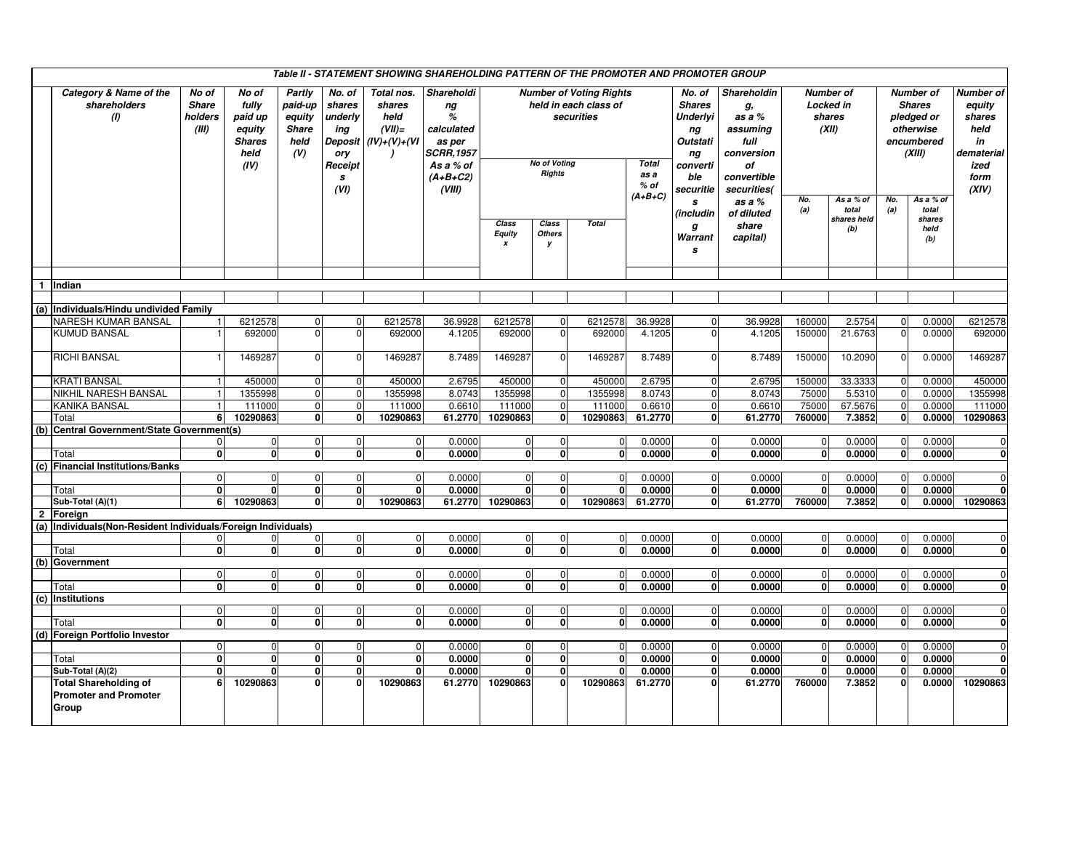|              | Table II - STATEMENT SHOWING SHAREHOLDING PATTERN OF THE PROMOTER AND PROMOTER GROUP |                                           |                                                                      |                                                            |                                                                                     |                                                                        |                                                                                                        |                                                                                                               |                             |                                |                                |                                                                                                           |                                                                                                   |                                                         |                                          |                                                                                      |                                             |                                                                                    |
|--------------|--------------------------------------------------------------------------------------|-------------------------------------------|----------------------------------------------------------------------|------------------------------------------------------------|-------------------------------------------------------------------------------------|------------------------------------------------------------------------|--------------------------------------------------------------------------------------------------------|---------------------------------------------------------------------------------------------------------------|-----------------------------|--------------------------------|--------------------------------|-----------------------------------------------------------------------------------------------------------|---------------------------------------------------------------------------------------------------|---------------------------------------------------------|------------------------------------------|--------------------------------------------------------------------------------------|---------------------------------------------|------------------------------------------------------------------------------------|
|              | Category & Name of the<br>shareholders<br>(1)                                        | No of<br><b>Share</b><br>holders<br>(III) | No of<br>fully<br>paid up<br>equity<br><b>Shares</b><br>held<br>(IV) | Partly<br>paid-up<br>equity<br><b>Share</b><br>held<br>(V) | No. of<br>shares<br>underly<br>ing<br><b>Deposit</b><br>ory<br>Receipt<br>s<br>(VI) | Total nos.<br>shares<br>held<br>$(VII)=$<br>$(IV)+(V)+(VI)$<br>$\cdot$ | Shareholdi<br>ng<br>%<br>calculated<br>as per<br><i>SCRR,1957</i><br>As a % of<br>$(A+B+C2)$<br>(VIII) | <b>Number of Voting Rights</b><br>held in each class of<br>securities<br><b>No of Voting</b><br><b>Rights</b> |                             |                                | <b>Total</b><br>as a<br>$%$ of | No. of<br><b>Shares</b><br><b>Underlyi</b><br>ng<br><b>Outstati</b><br>ng<br>converti<br>ble<br>securitie | Shareholdin<br>g,<br>as a %<br>assuming<br>full<br>conversion<br>οf<br>convertible<br>securities( | <b>Number of</b><br>Locked in<br>shares<br>(XII)<br>No. |                                          | <b>Number of</b><br><b>Shares</b><br>pledged or<br>otherwise<br>encumbered<br>(XIII) |                                             | Number of<br>equity<br>shares<br>held<br>in<br>dematerial<br>ized<br>form<br>(XIV) |
|              |                                                                                      |                                           |                                                                      |                                                            |                                                                                     |                                                                        |                                                                                                        | Class<br><b>Equity</b><br>$\boldsymbol{x}$                                                                    | Class<br><b>Others</b><br>y | <b>Total</b>                   | $(A+B+C)$                      | s<br>(includin<br>g<br>Warrant<br>s                                                                       | as a %<br>of diluted<br>share<br>capital)                                                         | (a)                                                     | As a % of<br>total<br>shares held<br>(b) | No.<br>(a)                                                                           | As a % of<br>total<br>shares<br>held<br>(b) |                                                                                    |
|              |                                                                                      |                                           |                                                                      |                                                            |                                                                                     |                                                                        |                                                                                                        |                                                                                                               |                             |                                |                                |                                                                                                           |                                                                                                   |                                                         |                                          |                                                                                      |                                             |                                                                                    |
|              | 1 Indian                                                                             |                                           |                                                                      |                                                            |                                                                                     |                                                                        |                                                                                                        |                                                                                                               |                             |                                |                                |                                                                                                           |                                                                                                   |                                                         |                                          |                                                                                      |                                             |                                                                                    |
|              | (a) Individuals/Hindu undivided Family                                               |                                           |                                                                      |                                                            |                                                                                     |                                                                        |                                                                                                        |                                                                                                               |                             |                                |                                |                                                                                                           |                                                                                                   |                                                         |                                          |                                                                                      |                                             |                                                                                    |
|              | NARESH KUMAR BANSAL                                                                  | $\mathbf{1}$                              | 6212578                                                              | 0                                                          | 0                                                                                   | 6212578                                                                | 36.9928                                                                                                | 6212578                                                                                                       | $\Omega$                    | 6212578                        | 36.9928                        | $\mathbf 0$                                                                                               | 36.9928                                                                                           | 160000                                                  | 2.5754                                   | $\mathbf 0$                                                                          | 0.0000                                      | 6212578                                                                            |
|              | <b>KUMUD BANSAL</b>                                                                  |                                           | 692000                                                               | $\Omega$                                                   | $\mathbf 0$                                                                         | 692000                                                                 | 4.1205                                                                                                 | 692000                                                                                                        | $\Omega$                    | 692000                         | 4.1205                         | $\Omega$                                                                                                  | 4.1205                                                                                            | 150000                                                  | 21.6763                                  | $\Omega$                                                                             | 0.0000                                      | 692000                                                                             |
|              |                                                                                      |                                           |                                                                      |                                                            |                                                                                     |                                                                        |                                                                                                        |                                                                                                               |                             |                                |                                |                                                                                                           |                                                                                                   |                                                         |                                          |                                                                                      |                                             |                                                                                    |
|              | <b>RICHI BANSAL</b>                                                                  |                                           | 1469287                                                              | $\Omega$                                                   | $\Omega$                                                                            | 1469287                                                                | 8.7489                                                                                                 | 1469287                                                                                                       | $\sqrt{2}$                  | 1469287                        | 8.7489                         | $\Omega$                                                                                                  | 8.7489                                                                                            | 150000                                                  | 10.2090                                  | $\sqrt{ }$                                                                           | 0.0000                                      | 1469287                                                                            |
|              | <b>KRATI BANSAL</b>                                                                  | $\mathbf{1}$                              | 450000                                                               | $\overline{0}$                                             | $\mathbf 0$                                                                         | 450000                                                                 | 2.6795                                                                                                 | 450000                                                                                                        | $\Omega$                    | 450000                         | 2.6795                         | $\mathbf 0$                                                                                               | 2.6795                                                                                            | 150000                                                  | 33.3333                                  | $\Omega$                                                                             | 0.0000                                      | 450000                                                                             |
|              | NIKHIL NARESH BANSAL                                                                 | 1                                         | 1355998                                                              | $\mathbf{0}$                                               | $\mathbf 0$                                                                         | 1355998                                                                | 8.0743                                                                                                 | 1355998                                                                                                       | $\mathbf 0$                 | 1355998                        | 8.0743                         | $\mathbf 0$                                                                                               | 8.0743                                                                                            | 75000                                                   | 5.5310                                   | $\Omega$                                                                             | 0.0000                                      | 1355998                                                                            |
|              | KANIKA BANSAL                                                                        | $\overline{1}$                            | 111000                                                               | $\mathbf 0$                                                | $\overline{0}$                                                                      | 111000                                                                 | 0.6610                                                                                                 | 111000                                                                                                        | $\mathbf 0$                 | 111000                         | 0.6610                         | $\overline{0}$                                                                                            | 0.6610                                                                                            | 75000                                                   | 67.5676                                  | $\Omega$                                                                             | 0.0000                                      | 111000                                                                             |
|              | Total                                                                                | 6                                         | 10290863                                                             | 0                                                          | $\mathbf{0}$                                                                        | 10290863                                                               | 61.2770                                                                                                | 10290863                                                                                                      | $\mathbf{0}$                | 10290863                       | 61.2770                        | $\mathbf{0}$                                                                                              | 61.2770                                                                                           | 760000                                                  | 7.3852                                   | $\mathbf 0$                                                                          | 0.0000                                      | 10290863                                                                           |
|              | (b) Central Government/State Government(s)                                           |                                           |                                                                      |                                                            |                                                                                     |                                                                        |                                                                                                        |                                                                                                               |                             |                                |                                |                                                                                                           |                                                                                                   |                                                         |                                          |                                                                                      |                                             |                                                                                    |
|              |                                                                                      | $\mathbf{0}$                              | $\mathbf 0$                                                          | $\mathbf 0$                                                | $\overline{0}$                                                                      | $\Omega$                                                               | 0.0000                                                                                                 | $\mathbf 0$                                                                                                   | $\mathbf 0$                 | $\mathbf 0$                    | 0.0000                         | $\overline{0}$                                                                                            | 0.0000                                                                                            | $\mathbf 0$                                             | 0.0000                                   | $\mathbf 0$                                                                          | 0.0000                                      | $\Omega$                                                                           |
|              | Total                                                                                | $\mathbf{0}$                              | $\mathbf{0}$                                                         | 0                                                          | $\mathbf{0}$                                                                        | $\mathbf{0}$                                                           | 0.0000                                                                                                 | 0                                                                                                             | $\mathbf{0}$                | $\mathbf{0}$                   | 0.0000                         | $\mathbf{0}$                                                                                              | 0.0000                                                                                            | $\mathbf{0}$                                            | 0.0000                                   | $\mathbf{0}$                                                                         | 0.0000                                      | 0                                                                                  |
|              | (c) Financial Institutions/Banks                                                     |                                           |                                                                      |                                                            |                                                                                     |                                                                        |                                                                                                        |                                                                                                               |                             |                                |                                |                                                                                                           |                                                                                                   |                                                         |                                          |                                                                                      |                                             |                                                                                    |
|              | Total                                                                                | $\mathbf{0}$<br>$\mathbf{0}$              | $\Omega$<br>$\mathbf{0}$                                             | $\mathbf 0$<br>0                                           | $\mathbf 0$<br>$\mathbf{0}$                                                         | $\Omega$<br>$\mathbf 0$                                                | 0.0000<br>0.0000                                                                                       | $\overline{0}$<br>0                                                                                           | $\Omega$<br>0               | $\mathbf 0$<br>$\mathbf{0}$    | 0.0000<br>0.0000               | $\overline{0}$<br>$\mathbf{0}$                                                                            | 0.0000<br>0.0000                                                                                  | $\mathbf 0$<br>$\mathbf 0$                              | 0.0000<br>0.0000                         | $\mathbf 0$<br>$\mathbf 0$                                                           | 0.0000<br>0.0000                            | $\Omega$<br>$\mathbf{0}$                                                           |
|              | Sub-Total (A)(1)                                                                     | 6                                         | 10290863                                                             | 0                                                          | $\mathbf{0}$                                                                        | 10290863                                                               |                                                                                                        | 61.2770 10290863                                                                                              | $\mathbf{0}$                | 10290863                       | 61.2770                        | 0                                                                                                         | 61.2770                                                                                           | 760000                                                  | 7.3852                                   | $\mathbf{0}$                                                                         | 0.0000                                      | 10290863                                                                           |
| $\mathbf{2}$ | Foreign                                                                              |                                           |                                                                      |                                                            |                                                                                     |                                                                        |                                                                                                        |                                                                                                               |                             |                                |                                |                                                                                                           |                                                                                                   |                                                         |                                          |                                                                                      |                                             |                                                                                    |
|              | (a) Individuals (Non-Resident Individuals/Foreign Individuals)                       |                                           |                                                                      |                                                            |                                                                                     |                                                                        |                                                                                                        |                                                                                                               |                             |                                |                                |                                                                                                           |                                                                                                   |                                                         |                                          |                                                                                      |                                             |                                                                                    |
|              |                                                                                      | $\mathbf 0$                               | 0                                                                    | 0                                                          | $\overline{0}$                                                                      | $\mathbf 0$                                                            | 0.0000                                                                                                 | $\overline{0}$                                                                                                | 0                           | $\overline{0}$                 | 0.0000                         | $\overline{0}$                                                                                            | 0.0000                                                                                            | $\mathbf 0$                                             | 0.0000                                   | $\overline{0}$                                                                       | 0.0000                                      | $\overline{0}$                                                                     |
|              | Total                                                                                | $\mathbf{0}$                              | $\mathbf{0}$                                                         | 0                                                          | $\mathbf{0}$                                                                        | $\mathbf{0}$                                                           | 0.0000                                                                                                 | $\overline{0}$                                                                                                | $\Omega$                    | <sub>0</sub>                   | 0.0000                         | 0                                                                                                         | 0.0000                                                                                            | $\mathbf{0}$                                            | 0.0000                                   | $\mathbf{0}$                                                                         | 0.0000                                      | <sub>0</sub>                                                                       |
|              | (b) Government                                                                       |                                           |                                                                      |                                                            |                                                                                     |                                                                        |                                                                                                        |                                                                                                               |                             |                                |                                |                                                                                                           |                                                                                                   |                                                         |                                          |                                                                                      |                                             |                                                                                    |
|              |                                                                                      | $\mathbf 0$                               | $\mathbf 0$                                                          | $\mathbf{0}$                                               | $\overline{0}$                                                                      | $\mathbf 0$                                                            | 0.0000                                                                                                 | $\overline{0}$                                                                                                | $\Omega$                    | $\mathbf 0$                    | 0.0000                         | $\overline{0}$                                                                                            | 0.0000                                                                                            | $\mathbf 0$                                             | 0.0000                                   | $\mathbf 0$                                                                          | 0.0000                                      | $\Omega$                                                                           |
|              | Total                                                                                | $\mathbf{0}$                              | $\mathbf{0}$                                                         | 0                                                          | $\mathbf{0}$                                                                        | $\mathbf{0}$                                                           | 0.0000                                                                                                 | $\overline{\mathbf{0}}$                                                                                       | $\Omega$                    | ō                              | 0.0000                         | 0                                                                                                         | 0.0000                                                                                            | ō                                                       | 0.0000                                   | ō                                                                                    | 0.0000                                      | $\mathbf{0}$                                                                       |
|              | (c) Institutions                                                                     |                                           |                                                                      |                                                            |                                                                                     |                                                                        |                                                                                                        |                                                                                                               |                             |                                |                                |                                                                                                           |                                                                                                   |                                                         |                                          |                                                                                      |                                             |                                                                                    |
|              |                                                                                      | $\mathbf 0$                               | $\mathbf 0$                                                          | $\mathbf{0}$                                               | $\overline{0}$                                                                      | $\Omega$                                                               | 0.0000                                                                                                 | $\mathbf{0}$                                                                                                  | $\Omega$                    | $\mathbf 0$                    | 0.0000                         | $\Omega$                                                                                                  | 0.0000                                                                                            | $\mathbf 0$                                             | 0.0000                                   | $\mathbf 0$                                                                          | 0.0000                                      | $\Omega$                                                                           |
|              | Total                                                                                | $\mathbf{0}$                              | $\mathbf 0$                                                          | 0                                                          | $\mathbf{0}$                                                                        | $\mathbf{0}$                                                           | 0.0000                                                                                                 | $\overline{\mathbf{0}}$                                                                                       | $\Omega$                    | 0                              | 0.0000                         | 0                                                                                                         | 0.0000                                                                                            | $\mathbf 0$                                             | 0.0000                                   | $\mathbf 0$                                                                          | 0.0000                                      | 0                                                                                  |
|              | (d) Foreign Portfolio Investor                                                       | $\mathbf{0}$                              |                                                                      |                                                            |                                                                                     |                                                                        |                                                                                                        |                                                                                                               |                             |                                |                                | $\mathbf 0$                                                                                               |                                                                                                   |                                                         |                                          |                                                                                      |                                             | $\overline{0}$                                                                     |
|              | Total                                                                                | $\mathbf{0}$                              | $\mathbf 0$<br>$\mathbf{0}$                                          | 0<br>$\overline{\mathbf{0}}$                               | $\mathbf 0$<br>$\overline{0}$                                                       | $\mathbf 0$<br>$\mathbf{0}$                                            | 0.0000<br>0.0000                                                                                       | $\mathbf 0$<br>$\overline{\mathbf{0}}$                                                                        | 0<br>$\mathbf{0}$           | $\overline{0}$<br>$\mathbf{0}$ | 0.0000<br>0.0000               | $\mathbf{0}$                                                                                              | 0.0000<br>0.0000                                                                                  | 0<br>$\mathbf{0}$                                       | 0.0000<br>0.0000                         | 0<br>$\mathbf{0}$                                                                    | 0.0000<br>0.0000                            | $\mathbf{0}$                                                                       |
|              | Sub-Total (A)(2)                                                                     | $\mathbf{0}$                              | $\Omega$                                                             | 0                                                          | $\mathbf{0}$                                                                        | $\mathbf 0$                                                            | 0.0000                                                                                                 | 0                                                                                                             | 0                           | $\Omega$                       | 0.0000                         | $\mathbf{0}$                                                                                              | 0.0000                                                                                            | $\mathbf 0$                                             | 0.0000                                   | $\mathbf 0$                                                                          | 0.0000                                      |                                                                                    |
|              | <b>Total Shareholding of</b>                                                         | 6                                         | 10290863                                                             | 0                                                          | $\Omega$                                                                            | 10290863                                                               | 61.2770                                                                                                | 10290863                                                                                                      | $\Omega$                    | 10290863                       | 61.2770                        | 0                                                                                                         | 61.2770                                                                                           | 760000                                                  | 7.3852                                   | $\mathbf{0}$                                                                         | 0.0000                                      | 10290863                                                                           |
|              | <b>Promoter and Promoter</b><br>Group                                                |                                           |                                                                      |                                                            |                                                                                     |                                                                        |                                                                                                        |                                                                                                               |                             |                                |                                |                                                                                                           |                                                                                                   |                                                         |                                          |                                                                                      |                                             |                                                                                    |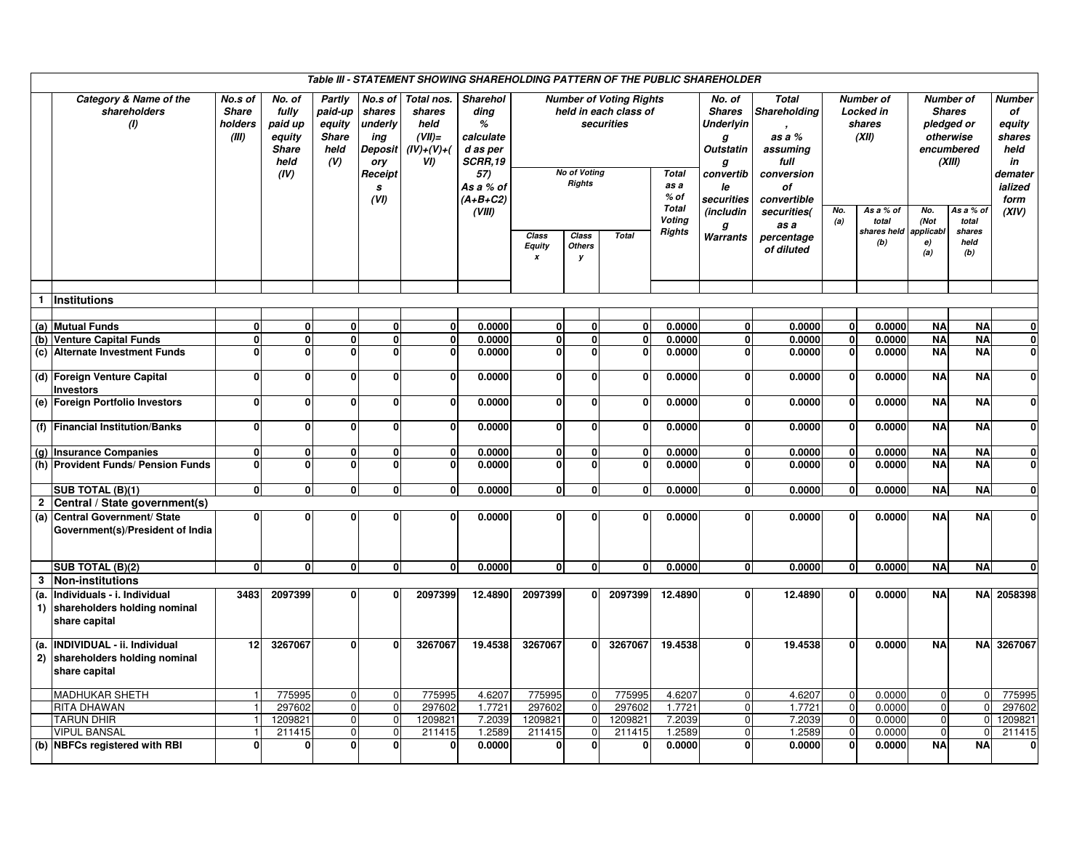|                         | Table III - STATEMENT SHOWING SHAREHOLDING PATTERN OF THE PUBLIC SHAREHOLDER    |                                             |                                                                      |                                                            |                                                                               |                                                                    |                                                                                                           |                             |                                      |                                                                       |                                         |                                                                                                            |                                                                                                      |              |                                           |                                       |                                                    |                                                                              |
|-------------------------|---------------------------------------------------------------------------------|---------------------------------------------|----------------------------------------------------------------------|------------------------------------------------------------|-------------------------------------------------------------------------------|--------------------------------------------------------------------|-----------------------------------------------------------------------------------------------------------|-----------------------------|--------------------------------------|-----------------------------------------------------------------------|-----------------------------------------|------------------------------------------------------------------------------------------------------------|------------------------------------------------------------------------------------------------------|--------------|-------------------------------------------|---------------------------------------|----------------------------------------------------|------------------------------------------------------------------------------|
|                         | Category & Name of the<br>shareholders<br>(1)                                   | No.s of<br><b>Share</b><br>holders<br>(III) | No. of<br>fully<br>paid up<br>equity<br><b>Share</b><br>held<br>(IV) | Partly<br>paid-up<br>equity<br><b>Share</b><br>held<br>(V) | No.s of<br>shares<br>underly<br>ing<br>Deposit<br>ory<br>Receipt<br>s<br>(VI) | Total nos.<br>shares<br>held<br>$(VII)$ =<br>$(IV)+(V)+(V)$<br>VI) | <b>Sharehol</b><br>ding<br>%<br>calculate<br>d as per<br><b>SCRR.19</b><br>57)<br>As a % of<br>$(A+B+C2)$ |                             | No of Voting<br><b>Rights</b>        | <b>Number of Voting Rights</b><br>held in each class of<br>securities | <b>Total</b><br>as a<br>$%$ of          | No. of<br><b>Shares</b><br><b>Underlyin</b><br>g<br><b>Outstatin</b><br>g<br>convertib<br>le<br>securities | <b>Total</b><br><b>Shareholding</b><br>as a %<br>assuming<br>full<br>conversion<br>οf<br>convertible |              | Number of<br>Locked in<br>shares<br>(XII) | pledged or<br>otherwise               | Number of<br><b>Shares</b><br>encumbered<br>(XIII) | Number<br>of<br>equity<br>shares<br>held<br>in<br>demater<br>ialized<br>form |
|                         |                                                                                 |                                             |                                                                      |                                                            |                                                                               |                                                                    | (VIII)                                                                                                    | Class<br><b>Equity</b><br>x | Class<br><b>Total</b><br>Others<br>y |                                                                       | <b>Total</b><br>Voting<br><b>Rights</b> | (includin<br>g<br>Warrants                                                                                 | securities(<br>as a<br>percentage<br>of diluted                                                      | No.<br>(a)   | As a % of<br>total<br>shares held<br>(b)  | No.<br>(Not<br>applicabl<br>e)<br>(a) | As a % oi<br>total<br>shares<br>held<br>(b)        | (XIV)                                                                        |
|                         |                                                                                 |                                             |                                                                      |                                                            |                                                                               |                                                                    |                                                                                                           |                             |                                      |                                                                       |                                         |                                                                                                            |                                                                                                      |              |                                           |                                       |                                                    |                                                                              |
| $\mathbf{1}$            | Institutions                                                                    |                                             |                                                                      |                                                            |                                                                               |                                                                    |                                                                                                           |                             |                                      |                                                                       |                                         |                                                                                                            |                                                                                                      |              |                                           |                                       |                                                    |                                                                              |
|                         | (a) Mutual Funds                                                                | $\mathbf{0}$                                | $\mathbf 0$                                                          | 0                                                          | $\overline{0}$                                                                | $\mathbf{0}$                                                       | 0.0000                                                                                                    | $\mathbf{0}$                | $\mathbf{0}$                         | $\mathbf 0$                                                           | 0.0000                                  | $\mathbf{0}$                                                                                               | 0.0000                                                                                               | $\mathbf{0}$ | 0.0000                                    | <b>NA</b>                             | <b>NA</b>                                          | $\mathbf{0}$                                                                 |
|                         | (b) Venture Capital Funds                                                       | $\Omega$                                    | 0                                                                    | 0                                                          | $\mathbf 0$                                                                   | $\mathbf{0}$                                                       | 0.0000                                                                                                    | $\mathbf 0$                 | $\mathbf{0}$                         | $\mathbf 0$                                                           | 0.0000                                  | $\mathbf{0}$                                                                                               | 0.0000                                                                                               | $\mathbf{0}$ | 0.0000                                    | <b>NA</b>                             | <b>NA</b>                                          | $\mathbf{0}$                                                                 |
| (c)                     | <b>Alternate Investment Funds</b>                                               | $\Omega$                                    | $\mathbf{0}$                                                         | 0                                                          | $\Omega$                                                                      | $\mathbf{0}$                                                       | 0.0000                                                                                                    | $\Omega$                    | $\Omega$                             | $\Omega$                                                              | 0.0000                                  | $\mathbf{0}$                                                                                               | 0.0000                                                                                               |              | 0.0000                                    | <b>NA</b>                             | <b>NA</b>                                          | $\mathbf{0}$                                                                 |
|                         | (d) Foreign Venture Capital                                                     | $\mathbf{0}$                                | $\mathbf 0$                                                          | 0                                                          | $\mathbf{0}$                                                                  | $\mathbf{0}$                                                       | 0.0000                                                                                                    | $\mathbf 0$                 | $\mathbf{0}$                         | $\mathbf{0}$                                                          | 0.0000                                  | $\mathbf{0}$                                                                                               | 0.0000                                                                                               | $\mathbf{0}$ | 0.0000                                    | <b>NA</b>                             | <b>NA</b>                                          | $\mathbf{0}$                                                                 |
|                         | <b>Investors</b>                                                                |                                             |                                                                      |                                                            |                                                                               |                                                                    |                                                                                                           |                             |                                      |                                                                       |                                         |                                                                                                            |                                                                                                      |              |                                           |                                       |                                                    |                                                                              |
|                         | (e) Foreign Portfolio Investors                                                 | $\Omega$                                    | 0                                                                    | 0                                                          | $\mathbf 0$                                                                   | $\mathbf{0}$                                                       | 0.0000                                                                                                    | $\Omega$                    | $\Omega$                             | $\mathbf{0}$                                                          | 0.0000                                  | $\mathbf{0}$                                                                                               | 0.0000                                                                                               |              | 0.0000                                    | <b>NA</b>                             | <b>NA</b>                                          | $\mathbf{0}$                                                                 |
|                         | (f) Financial Institution/Banks                                                 | $\Omega$                                    | $\bf{0}$                                                             | 0                                                          | $\Omega$                                                                      | $\mathbf{0}$                                                       | 0.0000                                                                                                    | $\Omega$                    | n                                    | $\mathbf{0}$                                                          | 0.0000                                  | $\mathbf 0$                                                                                                | 0.0000                                                                                               | $\Omega$     | 0.0000                                    | <b>NA</b>                             | <b>NA</b>                                          | $\mathbf{0}$                                                                 |
|                         | (g) Insurance Companies                                                         | $\mathbf{0}$                                | 0                                                                    | 0                                                          | $\mathbf{0}$                                                                  | $\mathbf{0}$                                                       | 0.0000                                                                                                    | $\mathbf 0$                 | $\mathbf{0}$                         | $\mathbf 0$                                                           | 0.0000                                  | $\mathbf{0}$                                                                                               | 0.0000                                                                                               | $\mathbf{0}$ | 0.0000                                    | <b>NA</b>                             | <b>NA</b>                                          | $\mathbf{0}$                                                                 |
|                         | (h) Provident Funds/ Pension Funds                                              | $\Omega$                                    | $\Omega$                                                             | 0                                                          | $\Omega$                                                                      | $\mathbf{0}$                                                       | 0.0000                                                                                                    | $\Omega$                    | $\Omega$                             | $\mathbf{0}$                                                          | 0.0000                                  | $\bf{0}$                                                                                                   | 0.0000                                                                                               | $\mathbf{0}$ | 0.0000                                    | <b>NA</b>                             | <b>NA</b>                                          | $\mathbf{0}$                                                                 |
|                         | SUB TOTAL (B)(1)                                                                | $\mathbf{0}$                                | $\mathbf 0$                                                          | 0                                                          | $\mathbf{0}$                                                                  | $\mathbf{0}$                                                       | 0.0000                                                                                                    | $\mathbf{0}$                | $\mathbf{0}$                         | $\mathbf 0$                                                           | 0.0000                                  | $\mathbf{0}$                                                                                               | 0.0000                                                                                               | $\mathbf{0}$ | 0.0000                                    | <b>NA</b>                             | <b>NA</b>                                          | $\mathbf{0}$                                                                 |
| $\overline{\mathbf{2}}$ | Central / State government(s)                                                   |                                             |                                                                      |                                                            |                                                                               |                                                                    |                                                                                                           |                             |                                      |                                                                       |                                         |                                                                                                            |                                                                                                      |              |                                           |                                       |                                                    |                                                                              |
| (a)                     | Central Government/ State<br>Government(s)/President of India                   | $\Omega$                                    | $\Omega$                                                             | Û                                                          | ŋ                                                                             | $\mathbf{0}$                                                       | 0.0000                                                                                                    | n                           |                                      | $\mathbf{0}$                                                          | 0.0000                                  | $\Omega$                                                                                                   | 0.0000                                                                                               |              | 0.0000                                    | <b>NA</b>                             | <b>NA</b>                                          | $\Omega$                                                                     |
|                         | SUB TOTAL (B)(2)                                                                | 0l                                          | $\mathbf{0}$                                                         | $\mathbf{0}$                                               | $\mathbf{0}$                                                                  | $\mathbf{0}$                                                       | 0.0000                                                                                                    | $\mathbf{0}$                | $\mathbf{0}$                         | $\mathbf{0}$                                                          | 0.0000                                  | $\mathbf{0}$                                                                                               | 0.0000                                                                                               | 0l           | 0.0000                                    | <b>NA</b>                             | <b>NA</b>                                          | $\mathbf{0}$                                                                 |
| 3                       | <b>Non-institutions</b>                                                         |                                             |                                                                      |                                                            |                                                                               |                                                                    |                                                                                                           |                             |                                      |                                                                       |                                         |                                                                                                            |                                                                                                      |              |                                           |                                       |                                                    |                                                                              |
| (a.                     | Individuals - i. Individual<br>1) shareholders holding nominal<br>share capital | 3483                                        | 2097399                                                              | 0                                                          | $\mathbf{0}$                                                                  | 2097399                                                            | 12.4890                                                                                                   | 2097399                     | $\mathbf{0}$                         | 2097399                                                               | 12.4890                                 | $\mathbf{0}$                                                                                               | 12.4890                                                                                              | $\Omega$     | 0.0000                                    | <b>NA</b>                             |                                                    | NA 2058398                                                                   |
| (a.<br>2)               | INDIVIDUAL - ii. Individual<br>shareholders holding nominal<br>share capital    | 12                                          | 3267067                                                              | $\mathbf{0}$                                               | O                                                                             | 3267067                                                            | 19.4538                                                                                                   | 3267067                     | n                                    | 3267067                                                               | 19.4538                                 | $\bf{0}$                                                                                                   | 19.4538                                                                                              | $\Omega$     | 0.0000                                    | <b>NA</b>                             | <b>NA</b>                                          | 3267067                                                                      |
|                         | <b>MADHUKAR SHETH</b>                                                           |                                             | 775995                                                               | 0                                                          | $\mathbf{0}$                                                                  | 775995                                                             | 4.6207                                                                                                    | 775995                      |                                      | 775995                                                                | 4.6207                                  | $\overline{0}$                                                                                             | 4.6207                                                                                               |              | 0.0000                                    | $\mathbf 0$                           | $\Omega$                                           | 775995                                                                       |
|                         | RITA DHAWAN                                                                     |                                             | 297602                                                               | $\overline{0}$                                             | $\overline{0}$                                                                | 297602                                                             | 1.7721                                                                                                    | 297602                      | $\Omega$                             | 297602                                                                | 1.7721                                  | $\overline{0}$                                                                                             | 1.7721                                                                                               | $\Omega$     | 0.0000                                    | $\mathbf 0$                           | $\Omega$                                           | 297602                                                                       |
|                         | <b>TARUN DHIR</b>                                                               |                                             | 1209821                                                              | $\overline{0}$                                             | $\mathbf 0$                                                                   | 1209821                                                            | 7.2039                                                                                                    | 1209821                     | $\Omega$                             | 1209821                                                               | 7.2039                                  | $\mathbf 0$                                                                                                | 7.2039                                                                                               | $\mathbf 0$  | 0.0000                                    | $\mathbf 0$                           | $\Omega$                                           | 1209821                                                                      |
|                         | <b>VIPUL BANSAL</b>                                                             |                                             | 211415                                                               | $\overline{0}$                                             | ō<br>$\Omega$                                                                 | 211415                                                             | 1.2589                                                                                                    | $2\overline{11415}$         |                                      | 211415                                                                | 1.2589                                  | $\overline{0}$                                                                                             | 1.2589                                                                                               |              | 0.0000                                    | $\mathbf 0$                           | $\Omega$                                           | 211415                                                                       |
|                         | (b) NBFCs registered with RBI                                                   | O                                           | 0                                                                    | $\mathbf{0}$                                               |                                                                               | $\mathbf{0}$                                                       | 0.0000                                                                                                    | $\Omega$                    | $\Omega$                             | 0                                                                     | 0.0000                                  | $\mathbf 0$                                                                                                | 0.0000                                                                                               | $\Omega$     | 0.0000                                    | <b>NA</b>                             | <b>NA</b>                                          | $\mathbf{0}$                                                                 |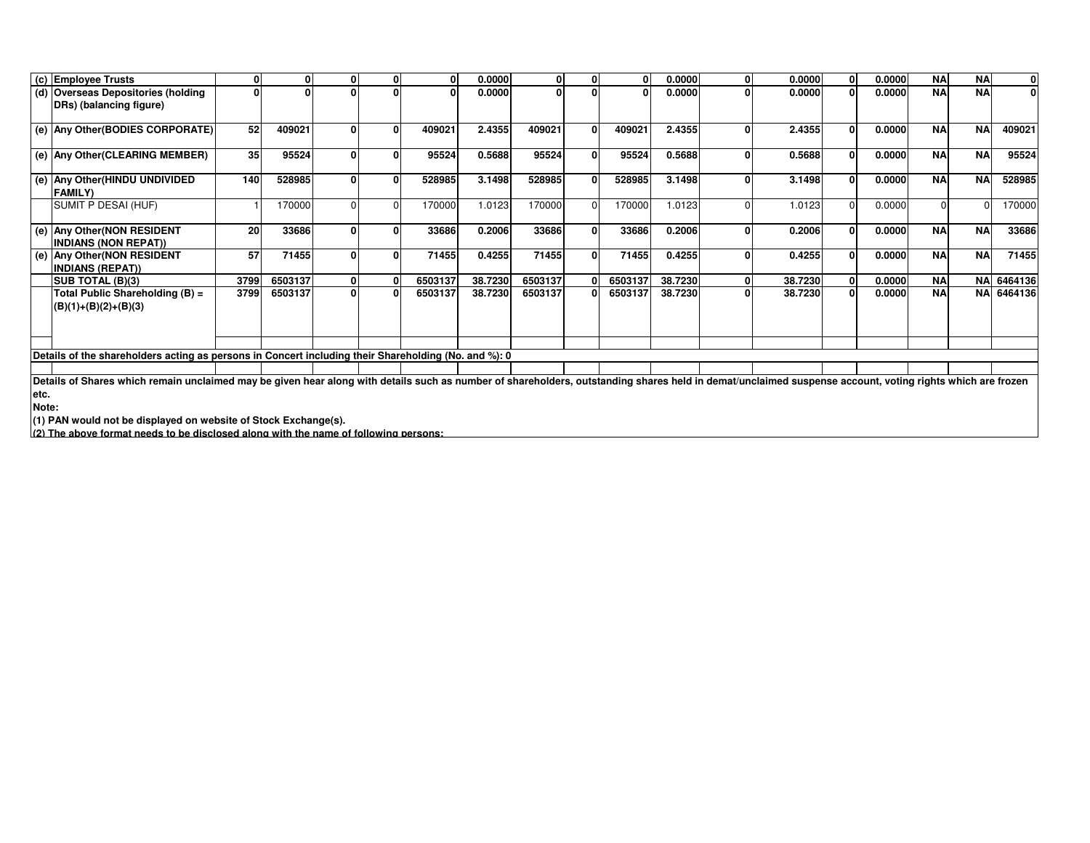|      | (c) Employee Trusts                                                                                                                                                                                       | 0    | 0       |  | 0        | 0.0000  | 0       | $\mathbf{0}$ |         | 0.0000  | $\mathbf{0}$ | 0.0000  | 0.0000 | <b>NA</b> | <b>NA</b> | $\mathbf{0}$ |
|------|-----------------------------------------------------------------------------------------------------------------------------------------------------------------------------------------------------------|------|---------|--|----------|---------|---------|--------------|---------|---------|--------------|---------|--------|-----------|-----------|--------------|
|      | (d) Overseas Depositories (holding                                                                                                                                                                        | O    |         |  | $\Omega$ | 0.0000  | 0       |              |         | 0.0000  | $\Omega$     | 0.0000  | 0.0000 | <b>NA</b> | <b>NA</b> | $\Omega$     |
|      | DRs) (balancing figure)                                                                                                                                                                                   |      |         |  |          |         |         |              |         |         |              |         |        |           |           |              |
|      |                                                                                                                                                                                                           |      |         |  |          |         |         |              |         |         |              |         |        |           |           |              |
|      | (e) Any Other (BODIES CORPORATE)                                                                                                                                                                          | 52   | 409021  |  | 409021   | 2.4355  | 409021  | $\Omega$     | 409021  | 2.4355  | O            | 2.4355  | 0.0000 | <b>NA</b> | <b>NA</b> | 409021       |
|      |                                                                                                                                                                                                           |      |         |  |          |         |         |              |         |         |              |         |        |           |           |              |
|      | (e) Any Other (CLEARING MEMBER)                                                                                                                                                                           | 35   | 95524   |  | 95524    | 0.5688  | 95524   | $\mathbf{0}$ | 95524   | 0.5688  | $\Omega$     | 0.5688  | 0.0000 | <b>NA</b> | <b>NA</b> | 95524        |
|      | (e) Any Other (HINDU UNDIVIDED                                                                                                                                                                            | 140  | 528985  |  | 528985   | 3.1498  | 528985  | $\Omega$     | 528985  | 3.1498  | $\mathbf{0}$ | 3.1498  | 0.0000 | <b>NA</b> | <b>NA</b> | 528985       |
|      | <b>FAMILY)</b>                                                                                                                                                                                            |      |         |  |          |         |         |              |         |         |              |         |        |           |           |              |
|      | SUMIT P DESAI (HUF)                                                                                                                                                                                       |      | 170000  |  | 170000   | 1.0123  | 170000  |              | 170000  | 1.0123  |              | 1.0123  | 0.0000 | $\Omega$  |           | 170000       |
|      | (e) Any Other (NON RESIDENT                                                                                                                                                                               | 20   | 33686   |  | 33686    | 0.2006  | 33686   | $\mathbf{0}$ | 33686   | 0.2006  | 0            | 0.2006  | 0.0000 | <b>NA</b> | <b>NA</b> | 33686        |
|      | <b>INDIANS (NON REPAT))</b>                                                                                                                                                                               |      |         |  |          |         |         |              |         |         |              |         |        |           |           |              |
|      | (e) Any Other (NON RESIDENT                                                                                                                                                                               | 57   | 71455   |  | 71455    | 0.4255  | 71455   |              | 71455   | 0.4255  |              | 0.4255  | 0.0000 | <b>NA</b> | <b>NA</b> | 71455        |
|      | <b>INDIANS (REPAT))</b>                                                                                                                                                                                   |      |         |  |          |         |         |              |         |         |              |         |        |           |           |              |
|      | <b>SUB TOTAL (B)(3)</b>                                                                                                                                                                                   | 3799 | 6503137 |  | 6503137  | 38.7230 | 6503137 |              | 6503137 | 38.7230 | $\mathbf{0}$ | 38.7230 | 0.0000 | <b>NA</b> |           | NA 6464136   |
|      | Total Public Shareholding (B) =                                                                                                                                                                           | 3799 | 6503137 |  | 6503137  | 38.7230 | 6503137 |              | 6503137 | 38.7230 | $\mathbf{0}$ | 38.7230 | 0.0000 | <b>NA</b> |           | NA 6464136   |
|      | $ (B)(1)+(B)(2)+(B)(3) $                                                                                                                                                                                  |      |         |  |          |         |         |              |         |         |              |         |        |           |           |              |
|      |                                                                                                                                                                                                           |      |         |  |          |         |         |              |         |         |              |         |        |           |           |              |
|      |                                                                                                                                                                                                           |      |         |  |          |         |         |              |         |         |              |         |        |           |           |              |
|      |                                                                                                                                                                                                           |      |         |  |          |         |         |              |         |         |              |         |        |           |           |              |
|      | Details of the shareholders acting as persons in Concert including their Shareholding (No. and %): 0                                                                                                      |      |         |  |          |         |         |              |         |         |              |         |        |           |           |              |
|      | Details of Shares which remain unclaimed may be given hear along with details such as number of shareholders, outstanding shares held in demat/unclaimed suspense account, voting rights which are frozen |      |         |  |          |         |         |              |         |         |              |         |        |           |           |              |
| etc. |                                                                                                                                                                                                           |      |         |  |          |         |         |              |         |         |              |         |        |           |           |              |
|      |                                                                                                                                                                                                           |      |         |  |          |         |         |              |         |         |              |         |        |           |           |              |

**Note:**

**(1) PAN would not be displayed on website of Stock Exchange(s). (2) The above format needs to be disclosed along with the name of following persons:**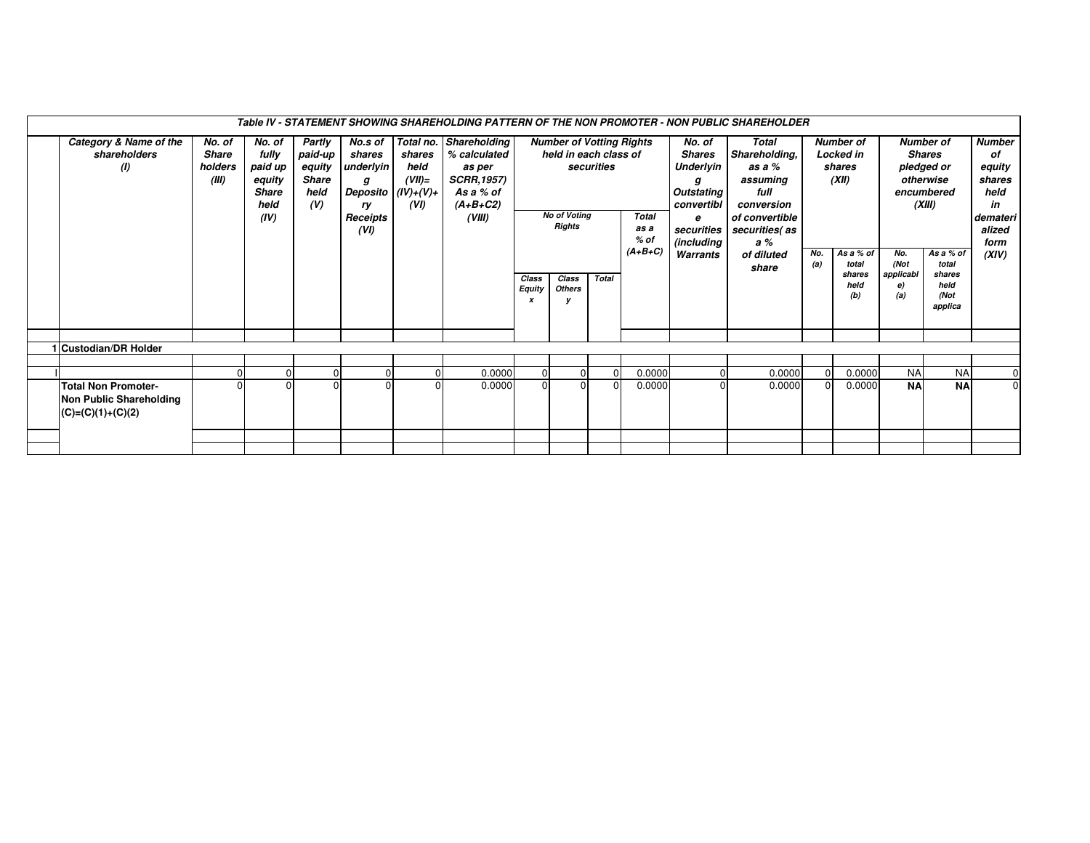| Category & Name of the<br>No. of<br>Total no. Shareholding<br><b>Number</b><br>Partly<br>No.s of<br><b>Number of Votting Rights</b><br>Total<br><b>Number of</b><br><b>Number of</b><br>No. of<br>No. of<br>Shareholding,<br>fully<br>held in each class of<br>shareholders<br><b>Share</b><br>paid-up<br>shares<br>shares<br>% calculated<br><b>Shares</b><br>Locked in<br><b>Shares</b><br>of<br>paid up<br>underlyin<br>securities<br>Underlyin<br>equity<br>(1)<br>holders<br>equity<br>held<br>as a %<br>shares<br>pledged or<br>as per<br>(XII)<br><b>Share</b><br><b>SCRR, 1957)</b><br>(III)<br>$(VII)=$<br>otherwise<br>equity<br>assuming<br>shares<br>g<br>g<br>full<br>held<br>held<br><b>Share</b><br>Deposito $ (IV)+(V)+$<br>As a % of<br>Outstating<br>encumbered<br>(V)<br>$(A+B+C2)$<br>(XIII)<br>held<br>(VI)<br>convertibl<br>conversion<br>in<br>ry<br><b>No of Voting</b><br><b>Total</b><br>(IV)<br>Receipts<br>(VIII)<br>of convertible<br>demateri<br>е<br><b>Rights</b><br>(VI)<br>as a<br>securities<br>securities (as<br>alized<br>$%$ of<br>(including<br>a %<br>form<br>$(A+B+C)$<br>No.<br>As a % of<br>No.<br>As a % of<br>(XIV)<br>Warrants<br>of diluted<br>(Not<br>total<br>total<br>(a)<br>share<br>applicabl<br>shares<br>shares<br>Class<br><b>Total</b><br>Class<br>held<br>held<br>e)<br><b>Equity</b><br><b>Others</b><br>(b)<br>(a)<br>(Not<br>applica<br>Custodian/DR Holder<br><b>NA</b><br><b>NA</b><br>0.0000<br>0.0000<br>0.0000<br>0.0000<br>$\overline{0}$<br>$\overline{0}$<br><sup>0</sup><br><b>NA</b><br>$\pmb{0}$<br><b>NA</b><br>0.0000<br>0.0000<br>0.0000<br>$\Omega$<br>0.0000<br><b>Total Non Promoter-</b><br>Non Public Shareholding<br>$(C)=(C)(1)+(C)(2)$ | Table IV - STATEMENT SHOWING SHAREHOLDING PATTERN OF THE NON PROMOTER - NON PUBLIC SHAREHOLDER |  |  |  |  |  |  |  |  |  |  |  |  |  |  |  |  |  |  |  |
|--------------------------------------------------------------------------------------------------------------------------------------------------------------------------------------------------------------------------------------------------------------------------------------------------------------------------------------------------------------------------------------------------------------------------------------------------------------------------------------------------------------------------------------------------------------------------------------------------------------------------------------------------------------------------------------------------------------------------------------------------------------------------------------------------------------------------------------------------------------------------------------------------------------------------------------------------------------------------------------------------------------------------------------------------------------------------------------------------------------------------------------------------------------------------------------------------------------------------------------------------------------------------------------------------------------------------------------------------------------------------------------------------------------------------------------------------------------------------------------------------------------------------------------------------------------------------------------------------------------------------------------------------------------------------------------------------------------------------|------------------------------------------------------------------------------------------------|--|--|--|--|--|--|--|--|--|--|--|--|--|--|--|--|--|--|--|
|                                                                                                                                                                                                                                                                                                                                                                                                                                                                                                                                                                                                                                                                                                                                                                                                                                                                                                                                                                                                                                                                                                                                                                                                                                                                                                                                                                                                                                                                                                                                                                                                                                                                                                                          |                                                                                                |  |  |  |  |  |  |  |  |  |  |  |  |  |  |  |  |  |  |  |
|                                                                                                                                                                                                                                                                                                                                                                                                                                                                                                                                                                                                                                                                                                                                                                                                                                                                                                                                                                                                                                                                                                                                                                                                                                                                                                                                                                                                                                                                                                                                                                                                                                                                                                                          |                                                                                                |  |  |  |  |  |  |  |  |  |  |  |  |  |  |  |  |  |  |  |
|                                                                                                                                                                                                                                                                                                                                                                                                                                                                                                                                                                                                                                                                                                                                                                                                                                                                                                                                                                                                                                                                                                                                                                                                                                                                                                                                                                                                                                                                                                                                                                                                                                                                                                                          |                                                                                                |  |  |  |  |  |  |  |  |  |  |  |  |  |  |  |  |  |  |  |
|                                                                                                                                                                                                                                                                                                                                                                                                                                                                                                                                                                                                                                                                                                                                                                                                                                                                                                                                                                                                                                                                                                                                                                                                                                                                                                                                                                                                                                                                                                                                                                                                                                                                                                                          |                                                                                                |  |  |  |  |  |  |  |  |  |  |  |  |  |  |  |  |  |  |  |
|                                                                                                                                                                                                                                                                                                                                                                                                                                                                                                                                                                                                                                                                                                                                                                                                                                                                                                                                                                                                                                                                                                                                                                                                                                                                                                                                                                                                                                                                                                                                                                                                                                                                                                                          |                                                                                                |  |  |  |  |  |  |  |  |  |  |  |  |  |  |  |  |  |  |  |
|                                                                                                                                                                                                                                                                                                                                                                                                                                                                                                                                                                                                                                                                                                                                                                                                                                                                                                                                                                                                                                                                                                                                                                                                                                                                                                                                                                                                                                                                                                                                                                                                                                                                                                                          |                                                                                                |  |  |  |  |  |  |  |  |  |  |  |  |  |  |  |  |  |  |  |
|                                                                                                                                                                                                                                                                                                                                                                                                                                                                                                                                                                                                                                                                                                                                                                                                                                                                                                                                                                                                                                                                                                                                                                                                                                                                                                                                                                                                                                                                                                                                                                                                                                                                                                                          |                                                                                                |  |  |  |  |  |  |  |  |  |  |  |  |  |  |  |  |  |  |  |